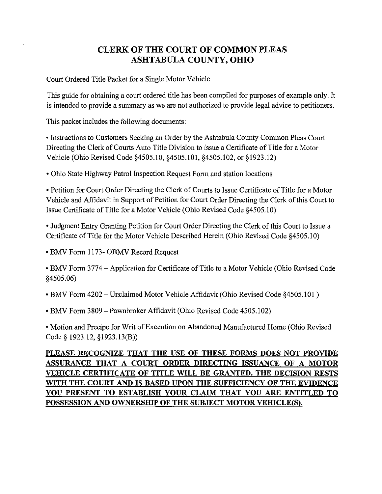# **CLERK OF THE COURT OF COMMON PLEAS ASHTABULA COUNTY, OHIO**

Court Ordered Title Packet for a Single Motor Vehicle

This guide for obtaining a court ordered title has been compiled for purposes of example only. It is intended to provide a summary as we are not authorized to provide legal advice to petitioners.

This packet includes the following documents:

• Instructions to Customers Seeking an Order by the Ashtabula County Common Pleas Court Directing the Clerk of Courts Auto Title Division to issue a Certificate of Title for a Motor Vehicle (Ohio Revised Code §4505.10, §4505.101, §4505.102, or §1923.12)

• Ohio State Highway Patrol Inspection Request Form and station locations

• Petition for Court Order Directing the Clerk of Courts to Issue Certificate of Title for a Motor Vehicle and Affidavit in Support of Petition for Court Order Directing the Clerk of this Court to Issue Certificate of Title for a Motor Vehicle (Ohio Revised Code §4505.10)

• Judgment Entry Granting Petition for Court Order Directing the Clerk of this Court to Issue a Certificate of Title for the Motor Vehicle Described Herein (Ohio Revised Code §4505.10)

• BMV Form 1173- OBMV Record Request

• BMV Form 3774 – Application for Certificate of Title to a Motor Vehicle (Ohio Revised Code  $$4505.06$ 

- BMV Form 4202 Unclaimed Motor Vehicle Affidavit (Ohio Revised Code §4505.101)
- BMV Form 3809 Pawnbroker Affidavit (Ohio Revised Code 4505.102)

• Motion and Precipe for Writ of Execution on Abandoned Manufactured Home (Ohio Revised Code § 1923.12, §1923.13(B))

# PLEASE RECOGNIZE THAT THE USE OF THESE FORMS DOES NOT PROVIDE ASSURANCE THAT A COURT ORDER DIRECTING ISSUANCE OF A MOTOR VEHICLE CERTIFICATE OF TITLE WILL BE GRANTED. THE DECISION RESTS WITH THE COURT AND IS BASED UPON THE SUFFICIENCY OF THE EVIDENCE YOU PRESENT TO ESTABLISH YOUR CLAIM THAT YOU ARE ENTITLED TO POSSESSION AND OWNERSHIP OF THE SUBJECT MOTOR VEHICLE(S).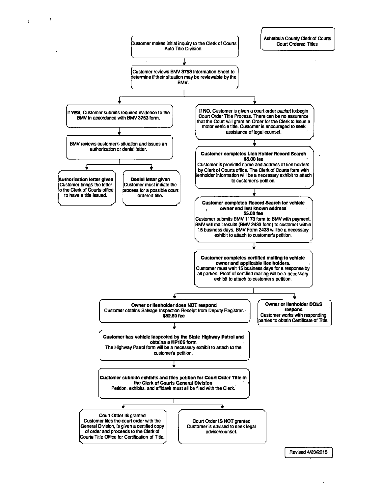

 $\bar{\mathbf{r}}$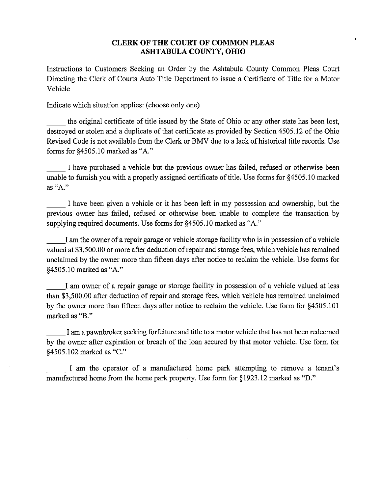## **CLERK OF THE COURT OF COMMON PLEAS ASHTABULA COUNTY, OHIO**

Instructions to Customers Seeking an Order by the Ashtabula County Common Pleas Court Directing the Clerk of Courts Auto Title Department to issue a Certificate of Title for a Motor Vehicle

Indicate which situation applies: (choose only one)

the original certificate of title issued by the State of Ohio or any other state has been lost, destroyed or stolen and a duplicate of that certificate as provided by Section 4505.12 of the Ohio Revised Code is not available from the Clerk or BMV due to a lack of historical title records. Use forms for §4505.10 marked as "A."

I have purchased a vehicle but the previous owner has failed, refused or otherwise been unable to furnish you with a properly assigned certificate of title. Use forms for §4505.10 marked as "A."

I have been given a vehicle or it has been left in my possession and ownership, but the previous owner has failed, refused or otherwise been unable to complete the transaction by supplying required documents. Use forms for §4505.10 marked as "A."

I am the owner of a repair garage or vehicle storage facility who is in possession of a vehicle valued at \$3,500.00 or more after deduction of repair and storage fees, which vehicle has remained unclaimed by the owner more than fifteen days after notice to reclaim the vehicle. Use forms for §4505.10 marked as "A."

I am owner of a repair garage or storage facility in possession of a vehicle valued at less than \$3,500.00 after deduction of repair and storage fees, which vehicle has remained unclaimed by the owner more than fifteen days after notice to reclaim the vehicle. Use form for §4505.101 marked as "B."

I am a pawnbroker seeking forfeiture and title to a motor vehicle that has not been redeemed by the owner after expiration or breach of the loan secured by that motor vehicle. Use form for §4505.102 marked as "C."

I am the operator of a manufactured home park attempting to remove a tenant's manufactured home from the home park property. Use form for §1923.12 marked as "D."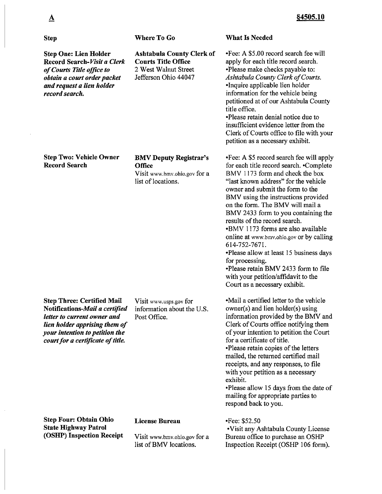| <b>Step</b>                                                                                                                                                                                                | <b>Where To Go</b>                                                                                             | <b>What Is Needed</b>                                                                                                                                                                                                                                                                                                                                                                                                                                                                                                                                                                                                                    |
|------------------------------------------------------------------------------------------------------------------------------------------------------------------------------------------------------------|----------------------------------------------------------------------------------------------------------------|------------------------------------------------------------------------------------------------------------------------------------------------------------------------------------------------------------------------------------------------------------------------------------------------------------------------------------------------------------------------------------------------------------------------------------------------------------------------------------------------------------------------------------------------------------------------------------------------------------------------------------------|
| <b>Step One: Lien Holder</b><br>Record Search-Visit a Clerk<br>of Courts Title office to<br>obtain a court order packet<br>and request a lien holder<br>record search.                                     | <b>Ashtabula County Clerk of</b><br><b>Courts Title Office</b><br>2 West Walnut Street<br>Jefferson Ohio 44047 | •Fee: A \$5.00 record search fee will<br>apply for each title record search.<br>•Please make checks payable to:<br>Ashtabula County Clerk of Courts.<br>•Inquire applicable lien holder<br>information for the vehicle being<br>petitioned at of our Ashtabula County<br>title office.<br>•Please retain denial notice due to<br>insufficient evidence letter from the<br>Clerk of Courts office to file with your<br>petition as a necessary exhibit.                                                                                                                                                                                   |
| <b>Step Two: Vehicle Owner</b><br><b>Record Search</b>                                                                                                                                                     | <b>BMV Deputy Registrar's</b><br><b>Office</b><br>Visit www.bmv.ohio.gov for a<br>list of locations.           | .Fee: A \$5 record search fee will apply<br>for each title record search. • Complete<br>BMV 1173 form and check the box<br>"last known address" for the vehicle<br>owner and submit the form to the<br>BMV using the instructions provided<br>on the form. The BMV will mail a<br>BMV 2433 form to you containing the<br>results of the record search.<br>•BMV 1173 forms are also available<br>online at www.bmv.ohio.gov or by calling<br>614-752-7671.<br>•Please allow at least 15 business days<br>for processing.<br>. Please retain BMV 2433 form to file<br>with your petition/affidavit to the<br>Court as a necessary exhibit. |
| <b>Step Three: Certified Mail</b><br>Notifications-Mail a certified<br>letter to current owner and<br>lien holder apprising them of<br>your intention to petition the<br>court for a certificate of title. | Visit www.usps.gov for<br>information about the U.S.<br>Post Office.                                           | •Mail a certified letter to the vehicle<br>$owner(s)$ and lien holder $(s)$ using<br>information provided by the BMV and<br>Clerk of Courts office notifying them<br>of your intention to petition the Court<br>for a certificate of title.<br>•Please retain copies of the letters<br>mailed, the returned certified mail<br>receipts, and any responses, to file<br>with your petition as a necessary<br>exhibit.<br>. Please allow 15 days from the date of<br>mailing for appropriate parties to<br>respond back to you.                                                                                                             |
| <b>Step Four: Obtain Ohio</b><br><b>State Highway Patrol</b><br>(OSHP) Inspection Receipt                                                                                                                  | <b>License Bureau</b><br>Visit www.bmv.ohio.gov for a<br>list of BMV locations.                                | $\cdot$ Fee: \$52.50<br>• Visit any Ashtabula County License<br>Bureau office to purchase an OSHP<br>Inspection Receipt (OSHP 106 form).                                                                                                                                                                                                                                                                                                                                                                                                                                                                                                 |

 $\Delta$ 

 $\ddot{\phantom{a}}$ 

 $\hat{\mathcal{A}}$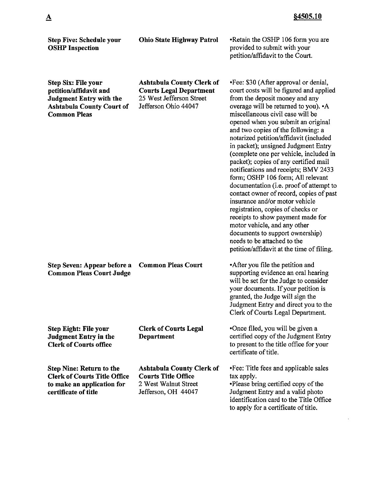| <b>Step Five: Schedule your</b><br><b>OSHP</b> Inspection                                                                                         | <b>Ohio State Highway Patrol</b>                                                                                       | •Retain the OSHP 106 form you are<br>provided to submit with your<br>petition/affidavit to the Court.                                                                                                                                                                                                                                                                                                                                                                                                                                                                                                                                                                                                                                                                                                                                                                          |  |
|---------------------------------------------------------------------------------------------------------------------------------------------------|------------------------------------------------------------------------------------------------------------------------|--------------------------------------------------------------------------------------------------------------------------------------------------------------------------------------------------------------------------------------------------------------------------------------------------------------------------------------------------------------------------------------------------------------------------------------------------------------------------------------------------------------------------------------------------------------------------------------------------------------------------------------------------------------------------------------------------------------------------------------------------------------------------------------------------------------------------------------------------------------------------------|--|
| <b>Step Six: File your</b><br>petition/affidavit and<br><b>Judgment Entry with the</b><br><b>Ashtabula County Court of</b><br><b>Common Pleas</b> | <b>Ashtabula County Clerk of</b><br><b>Courts Legal Department</b><br>25 West Jefferson Street<br>Jefferson Ohio 44047 | . Fee: \$30 (After approval or denial,<br>court costs will be figured and applied<br>from the deposit money and any<br>overage will be returned to you). • A<br>miscellaneous civil case will be<br>opened when you submit an original<br>and two copies of the following: a<br>notarized petition/affidavit (included<br>in packet); unsigned Judgment Entry<br>(complete one per vehicle, included in<br>packet); copies of any certified mail<br>notifications and receipts; BMV 2433<br>form; OSHP 106 form; All relevant<br>documentation (i.e. proof of attempt to<br>contact owner of record, copies of past<br>insurance and/or motor vehicle<br>registration, copies of checks or<br>receipts to show payment made for<br>motor vehicle, and any other<br>documents to support ownership)<br>needs to be attached to the<br>petition/affidavit at the time of filing. |  |
| Step Seven: Appear before a<br><b>Common Pleas Court Judge</b>                                                                                    | <b>Common Pleas Court</b>                                                                                              | •After you file the petition and<br>supporting evidence an oral hearing<br>will be set for the Judge to consider<br>your documents. If your petition is<br>granted, the Judge will sign the<br>Judgment Entry and direct you to the<br>Clerk of Courts Legal Department.                                                                                                                                                                                                                                                                                                                                                                                                                                                                                                                                                                                                       |  |
| <b>Step Eight: File your</b><br><b>Judgment Entry in the</b><br><b>Clerk of Courts office</b>                                                     | <b>Clerk of Courts Legal</b><br><b>Department</b>                                                                      | •Once filed, you will be given a<br>certified copy of the Judgment Entry<br>to present to the title office for your<br>certificate of title.                                                                                                                                                                                                                                                                                                                                                                                                                                                                                                                                                                                                                                                                                                                                   |  |
| <b>Step Nine: Return to the</b><br><b>Clerk of Courts Title Office</b><br>to make an application for<br>certificate of title                      | <b>Ashtabula County Clerk of</b><br><b>Courts Title Office</b><br>2 West Walnut Street<br>Jefferson, OH 44047          | •Fee: Title fees and applicable sales<br>tax apply.<br>•Please bring certified copy of the<br>Judgment Entry and a valid photo<br>identification card to the Title Office<br>to apply for a certificate of title.                                                                                                                                                                                                                                                                                                                                                                                                                                                                                                                                                                                                                                                              |  |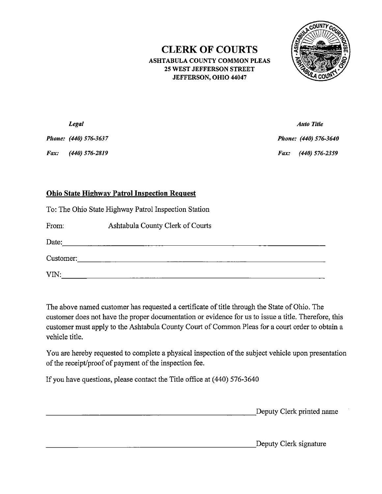# **CLERK OF COURTS**

ASHTABULA COUNTY COMMON PLEAS **25 WEST JEFFERSON STREET** JEFFERSON, OHIO 44047



|      | Legal                 | <b>Auto Title</b>     |
|------|-----------------------|-----------------------|
|      | Phone: (440) 576-3637 | Phone: (440) 576-3640 |
| Fax: | (440) 576-2819        | Fax: (440) 576-2359   |

# **Ohio State Highway Patrol Inspection Request**

To: The Ohio State Highway Patrol Inspection Station

From: Ashtabula County Clerk of Courts

| Date:     |  |  |  |
|-----------|--|--|--|
| Customer: |  |  |  |
| VIN:      |  |  |  |

The above named customer has requested a certificate of title through the State of Ohio. The customer does not have the proper documentation or evidence for us to issue a title. Therefore, this customer must apply to the Ashtabula County Court of Common Pleas for a court order to obtain a vehicle title.

You are hereby requested to complete a physical inspection of the subject vehicle upon presentation of the receipt/proof of payment of the inspection fee.

If you have questions, please contact the Title office at (440) 576-3640

Deputy Clerk printed name

Deputy Clerk signature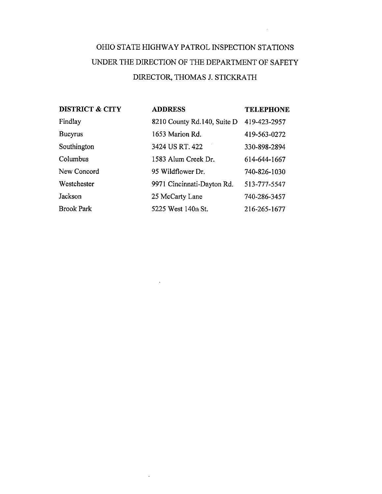# OHIO STATE HIGHWAY PATROL INSPECTION STATIONS UNDER THE DIRECTION OF THE DEPARTMENT OF SAFETY DIRECTOR, THOMAS J. STICKRATH

 $\mathcal{L}^{\text{max}}_{\text{max}}$  ,  $\mathcal{L}^{\text{max}}_{\text{max}}$ 

| <b>DISTRICT &amp; CITY</b> | <b>ADDRESS</b>              | <b>TELEPHONE</b> |
|----------------------------|-----------------------------|------------------|
| Findlay                    | 8210 County Rd.140, Suite D | 419-423-2957     |
| <b>Bucyrus</b>             | 1653 Marion Rd.             | 419-563-0272     |
| Southington                | 3424 US RT. 422             | 330-898-2894     |
| Columbus                   | 1583 Alum Creek Dr.         | 614-644-1667     |
| New Concord                | 95 Wildflower Dr.           | 740-826-1030     |
| Westchester                | 9971 Cincinnati-Dayton Rd.  | 513-777-5547     |
| Jackson                    | 25 McCarty Lane             | 740-286-3457     |
| <b>Brook Park</b>          | 5225 West 140th St.         | 216-265-1677     |

 $\sim$ 

 $\ddot{\phantom{a}}$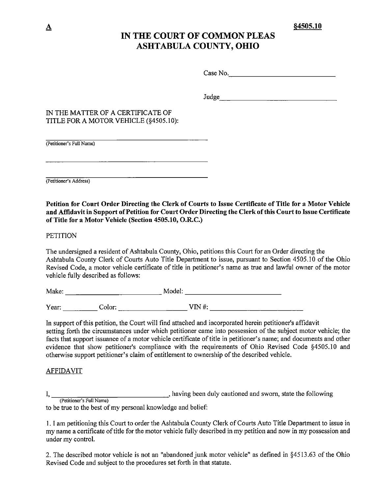# IN THE COURT OF COMMON PLEAS **ASHTABULA COUNTY, OHIO**

Case No.

Judge and the second state of the second state of the second state of the second state of the second state of the second state of the second state of the second state of the second state of the second state of the second s

## IN THE MATTER OF A CERTIFICATE OF TITLE FOR A MOTOR VEHICLE (§4505.10):

(Petitioner's Full Name)

(Petitioner's Address)

Petition for Court Order Directing the Clerk of Courts to Issue Certificate of Title for a Motor Vehicle and Affidavit in Support of Petition for Court Order Directing the Clerk of this Court to Issue Certificate of Title for a Motor Vehicle (Section 4505.10, O.R.C.)

**PETITION** 

The undersigned a resident of Ashtabula County, Ohio, petitions this Court for an Order directing the Ashtabula County Clerk of Courts Auto Title Department to issue, pursuant to Section 4505.10 of the Ohio Revised Code, a motor vehicle certificate of title in petitioner's name as true and lawful owner of the motor vehicle fully described as follows:

In support of this petition, the Court will find attached and incorporated herein petitioner's affidavit setting forth the circumstances under which petitioner came into possession of the subject motor vehicle; the facts that support issuance of a motor vehicle certificate of title in petitioner's name; and documents and other evidence that show petitioner's compliance with the requirements of Ohio Revised Code §4505.10 and otherwise support petitioner's claim of entitlement to ownership of the described vehicle.

## <u>AFFIDAVIT</u>

(Petitioner's Full Name) having been duly cautioned and sworn, state the following to be true to the best of my personal knowledge and belief:

1. I am petitioning this Court to order the Ashtabula County Clerk of Courts Auto Title Department to issue in my name a certificate of title for the motor vehicle fully described in my petition and now in my possession and under my control.

2. The described motor vehicle is not an "abandoned junk motor vehicle" as defined in §4513.63 of the Ohio Revised Code and subject to the procedures set forth in that statute.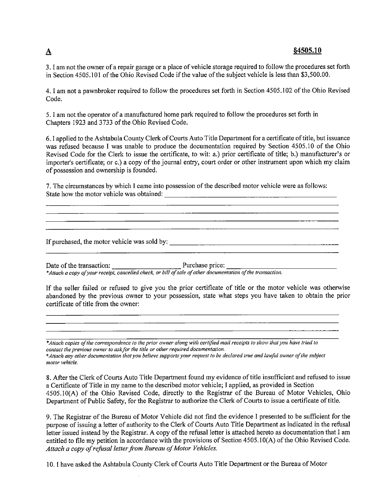## $§4505.10$

3. I am not the owner of a repair garage or a place of vehicle storage required to follow the procedures set forth in Section 4505.101 of the Ohio Revised Code if the value of the subject vehicle is less than \$3,500.00.

4. I am not a pawnbroker required to follow the procedures set forth in Section 4505.102 of the Ohio Revised Code.

5. I am not the operator of a manufactured home park required to follow the procedures set forth in Chapters 1923 and 3733 of the Ohio Revised Code.

6. I applied to the Ashtabula County Clerk of Courts Auto Title Department for a certificate of title, but issuance was refused because I was unable to produce the documentation required by Section 4505.10 of the Ohio Revised Code for the Clerk to issue the certificate, to wit: a.) prior certificate of title; b.) manufacturer's or importer's certificate; or c.) a copy of the journal entry, court order or other instrument upon which my claim of possession and ownership is founded.

7. The circumstances by which I came into possession of the described motor vehicle were as follows: State how the motor vehicle was obtained:

If purchased, the motor vehicle was sold by:

Date of the transaction: Purchase price: Purchase price: Mate of other documentation of the transaction.

If the seller failed or refused to give you the prior certificate of title or the motor vehicle was otherwise abandoned by the previous owner to your possession, state what steps you have taken to obtain the prior certificate of title from the owner:

<u> 1989 - Johann John Stone, markin film yn y brenin y brenin y brenin y brenin y brenin y brenin y brenin y br</u>

\*Attach copies of the correspondence to the prior owner along with certified mail receipts to show that you have tried to contact the previous owner to ask for the title or other required documentation. \*Attach any other documentation that you believe supports your request to be declared true and lawful owner of the subject motor vehicle.

8. After the Clerk of Courts Auto Title Department found my evidence of title insufficient and refused to issue a Certificate of Title in my name to the described motor vehicle; I applied, as provided in Section 4505.10(A) of the Ohio Revised Code, directly to the Registrar of the Bureau of Motor Vehicles, Ohio Department of Public Safety, for the Registrar to authorize the Clerk of Courts to issue a certificate of title.

9. The Registrar of the Bureau of Motor Vehicle did not find the evidence I presented to be sufficient for the purpose of issuing a letter of authority to the Clerk of Courts Auto Title Department as indicated in the refusal letter issued instead by the Registrar. A copy of the refusal letter is attached hereto as documentation that I am entitled to file my petition in accordance with the provisions of Section 4505.10(A) of the Ohio Revised Code. Attach a copy of refusal letter from Bureau of Motor Vehicles.

10. I have asked the Ashtabula County Clerk of Courts Auto Title Department or the Bureau of Motor

# $\mathbf{\Delta}$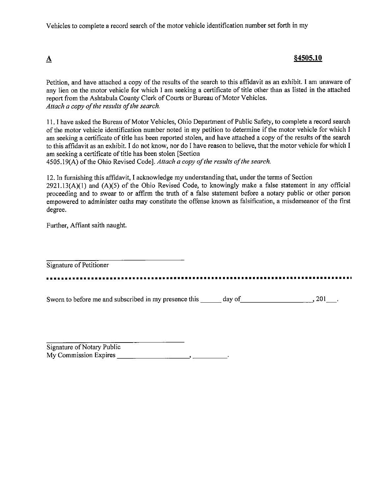Vehicles to complete a record search of the motor vehicle identification number set forth in my

# §4505.10

Petition, and have attached a copy of the results of the search to this affidavit as an exhibit. I am unaware of any lien on the motor vehicle for which I am seeking a certificate of title other than as listed in the attached report from the Ashtabula County Clerk of Courts or Bureau of Motor Vehicles. Attach a copy of the results of the search.

11. I have asked the Bureau of Motor Vehicles, Ohio Department of Public Safety, to complete a record search of the motor vehicle identification number noted in my petition to determine if the motor vehicle for which I am seeking a certificate of title has been reported stolen, and have attached a copy of the results of the search to this affidavit as an exhibit. I do not know, nor do I have reason to believe, that the motor vehicle for which I am seeking a certificate of title has been stolen [Section]

4505.19(A) of the Ohio Revised Code]. Attach a copy of the results of the search.

12. In furnishing this affidavit, I acknowledge my understanding that, under the terms of Section  $2921.13(A)(1)$  and  $(A)(5)$  of the Ohio Revised Code, to knowingly make a false statement in any official proceeding and to swear to or affirm the truth of a false statement before a notary public or other person empowered to administer oaths may constitute the offense known as falsification, a misdemeanor of the first degree.

Further, Affiant saith naught.

Signature of Petitioner

 $\overline{\mathbf{A}}$ 

Sworn to before me and subscribed in my presence this day of 301.

Signature of Notary Public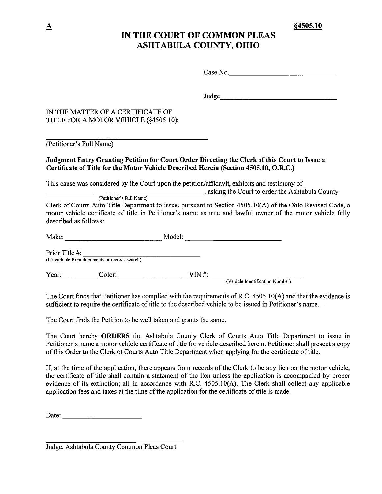\$4505.10

# IN THE COURT OF COMMON PLEAS **ASHTABULA COUNTY, OHIO**

Case No.

Judge and the state of the state of the state of the state of the state of the state of the state of the state of the state of the state of the state of the state of the state of the state of the state of the state of the

# IN THE MATTER OF A CERTIFICATE OF TITLE FOR A MOTOR VEHICLE (§4505.10):

(Petitioner's Full Name)

## Judgment Entry Granting Petition for Court Order Directing the Clerk of this Court to Issue a Certificate of Title for the Motor Vehicle Described Herein (Section 4505.10, O.R.C.)

This cause was considered by the Court upon the petition/affidavit, exhibits and testimony of

asking the Court to order the Ashtabula County (Petitioner's Full Name)

Clerk of Courts Auto Title Department to issue, pursuant to Section 4505.10(A) of the Ohio Revised Code, a motor vehicle certificate of title in Petitioner's name as true and lawful owner of the motor vehicle fully described as follows:

| Make:          |                                                 | Model: |                                 |
|----------------|-------------------------------------------------|--------|---------------------------------|
| Prior Title #: | (If available from documents or records search) |        |                                 |
| Year:          | Color:                                          | VIN #: | (Vehicle Identification Number) |

The Court finds that Petitioner has complied with the requirements of R.C. 4505.10(A) and that the evidence is sufficient to require the certificate of title to the described vehicle to be issued in Petitioner's name.

The Court finds the Petition to be well taken and grants the same.

The Court hereby ORDERS the Ashtabula County Clerk of Courts Auto Title Department to issue in Petitioner's name a motor vehicle certificate of title for vehicle described herein. Petitioner shall present a copy of this Order to the Clerk of Courts Auto Title Department when applying for the certificate of title.

If, at the time of the application, there appears from records of the Clerk to be any lien on the motor vehicle, the certificate of title shall contain a statement of the lien unless the application is accompanied by proper evidence of its extinction; all in accordance with R.C. 4505.10(A). The Clerk shall collect any applicable application fees and taxes at the time of the application for the certificate of title is made.

Date:  $\qquad \qquad$ 

Judge, Ashtabula County Common Pleas Court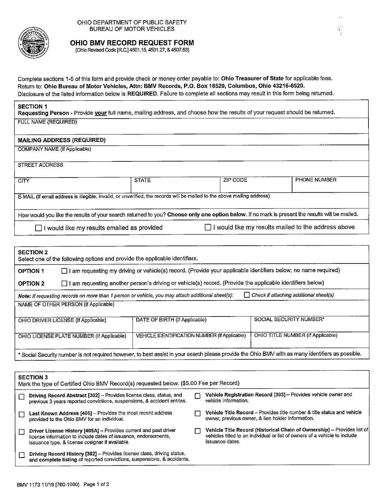

OHIO DEPARTMENT OF PUBLIC SAFETY BUREAU OF MOTOR VEHICLES

 $\mathcal{L}^{\mathcal{L}}$ 

 $\sim$ 

## OHIO BMV RECORD REQUEST FORM

(Ohio Revised Code [R.C.] 4501.15, 4501.27, & 4507.53)

Complete sections 1-5 of this form and provide check or money order payable to: Ohio Treasurer of State for applicable fees. Return to: Ohio Bureau of Motor Vehicles, Attn: BMV Records, P.O. Box 16520, Columbus, Ohio 43216-6520. Disclosure of the listed information below is REQUIRED. Failure to complete all sections may result in this form being returned.

## **SECTION 1**

Requesting Person - Provide your full name, mailing address, and choose how the results of your request should be returned. FULL NAME (REQUIRED)

#### **MAILING ADDRESS (REQUIRED)**

**COMPANY NAME (If Applicable)** 

**STREET ADDRESS** 

| <b>CITY</b>                                                                                                                                    | <b>STATE</b> | ZIP CODE | <b>PHONE NUMBER</b>                                        |  |
|------------------------------------------------------------------------------------------------------------------------------------------------|--------------|----------|------------------------------------------------------------|--|
|                                                                                                                                                |              |          |                                                            |  |
|                                                                                                                                                |              |          |                                                            |  |
| E-MAIL (If email address is illegible, invalid, or unverified, the records will be mailed to the above mailing address)                        |              |          |                                                            |  |
|                                                                                                                                                |              |          |                                                            |  |
|                                                                                                                                                |              |          |                                                            |  |
| How would you like the results of your search returned to you? Choose only one option below. If no mark is present the results will be mailed. |              |          |                                                            |  |
|                                                                                                                                                |              |          |                                                            |  |
| $\Box$ I would like my results emailed as provided                                                                                             |              |          | $\Box$ I would like my results mailed to the address above |  |
|                                                                                                                                                |              |          |                                                            |  |

| <b>SECTION 2</b><br>Select one of the following options and provide the applicable identifiers.                                                   |                                                                                                                                                    |                                                                                                           |  |  |  |  |  |
|---------------------------------------------------------------------------------------------------------------------------------------------------|----------------------------------------------------------------------------------------------------------------------------------------------------|-----------------------------------------------------------------------------------------------------------|--|--|--|--|--|
| <b>OPTION 1</b>                                                                                                                                   | I I am requesting my driving or vehicle(s) record. (Provide your applicable identifiers below; no name required)<br>l 1                            |                                                                                                           |  |  |  |  |  |
| <b>OPTION 2</b>                                                                                                                                   | ΙI                                                                                                                                                 | I am requesting another person's driving or vehicle(s) record. (Provide the applicable identifiers below) |  |  |  |  |  |
|                                                                                                                                                   | $\Box$ Check if attaching additional sheet(s)<br>Note: If requesting records on more than 1 person or vehicle, you may attach additional sheet(s): |                                                                                                           |  |  |  |  |  |
|                                                                                                                                                   | NAME OF OTHER PERSON (If Applicable)                                                                                                               |                                                                                                           |  |  |  |  |  |
|                                                                                                                                                   | SOCIAL SECURITY NUMBER*<br>DATE OF BIRTH (If Applicable)<br>OHIO DRIVER LICENSE (If Applicable)                                                    |                                                                                                           |  |  |  |  |  |
| OHIO TITLE NUMBER (If Applicable)<br>VEHICLE IDENTIFICATION NUMBER (If Applicable)<br>OHIO LICENSE PLATE NUMBER (If Applicable)                   |                                                                                                                                                    |                                                                                                           |  |  |  |  |  |
| * Social Security number is not required however, to best assist in your search please provide the Ohio BMV with as many identifiers as possible. |                                                                                                                                                    |                                                                                                           |  |  |  |  |  |

| <b>SECTION 3</b><br>Mark the type of Certified Ohio BMV Record(s) requested below. (\$5.00 Fee per Record)                                                                             |  |                                                                                                                                                                          |  |  |  |
|----------------------------------------------------------------------------------------------------------------------------------------------------------------------------------------|--|--------------------------------------------------------------------------------------------------------------------------------------------------------------------------|--|--|--|
| Driving Record Abstract [302] - Provides license class, status, and<br>previous 3 years reported convictions, suspensions, & accident entries.                                         |  | Vehicle Registration Record [303] - Provides vehicle owner and<br>vehicle information.                                                                                   |  |  |  |
| Last Known Address [405] - Provides the most recent address<br>provided to the Ohio BMV for an individual.                                                                             |  | Vehicle Title Record - Provides title number & title status and vehicle<br>owner, previous owner, & lien holder information.                                             |  |  |  |
| Driver License History [405A] - Provides current and past driver<br>license information to include dates of issuance, endorsements,<br>issuance type, & license cosigner if available. |  | Vehicle Title Record (Historical Chain of Ownership) - Provides list of<br>vehicles titled to an individual or list of owners of a vehicle to include<br>issuance dates. |  |  |  |
| Driving Record History [302] - Provides license class, driving status,<br>and complete listing of reported convictions, suspensions, & accidents.                                      |  |                                                                                                                                                                          |  |  |  |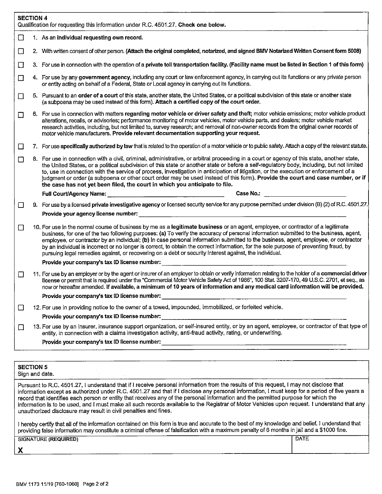|          | <b>SECTION 4</b><br>Qualification for requesting this information under R.C. 4501.27. Check one below.                                                                                                                                                                                                                                                                                                                                                                                                                                                                                                                                                                |  |  |  |  |
|----------|-----------------------------------------------------------------------------------------------------------------------------------------------------------------------------------------------------------------------------------------------------------------------------------------------------------------------------------------------------------------------------------------------------------------------------------------------------------------------------------------------------------------------------------------------------------------------------------------------------------------------------------------------------------------------|--|--|--|--|
| □        | 1. As an individual requesting own record.                                                                                                                                                                                                                                                                                                                                                                                                                                                                                                                                                                                                                            |  |  |  |  |
| $\Box$   | 2. With written consent of other person. (Attach the original completed, notarized, and signed BMV Notarized Written Consent form 5008)                                                                                                                                                                                                                                                                                                                                                                                                                                                                                                                               |  |  |  |  |
| □        | 3. For use in connection with the operation of a private toll transportation facility. (Facility name must be listed in Section 1 of this form)                                                                                                                                                                                                                                                                                                                                                                                                                                                                                                                       |  |  |  |  |
| □        | 4. For use by any government agency, including any court or law enforcement agency, in carrying out its functions or any private person<br>or entity acting on behalf of a Federal, State or Local agency in carrying out its functions.                                                                                                                                                                                                                                                                                                                                                                                                                              |  |  |  |  |
| □        | 5. Pursuant to an order of a court of this state, another state, the United States, or a political subdivision of this state or another state<br>(a subpoena may be used instead of this form). Attach a certified copy of the court order.                                                                                                                                                                                                                                                                                                                                                                                                                           |  |  |  |  |
| $\Box$   | 6. For use in connection with matters regarding motor vehicle or driver safety and theft; motor vehicle emissions; motor vehicle product<br>alterations, recalls, or advisories; performance monitoring of motor vehicles, motor vehicle parts, and dealers; motor vehicle market<br>research activities, including, but not limited to, survey research; and removal of non-owner records from the original owner records of<br>motor vehicle manufacturers. Provide relevant documentation supporting your request.                                                                                                                                                 |  |  |  |  |
| $\Box$   | 7. For use specifically authorized by law that is related to the operation of a motor vehicle or to public safety. Attach a copy of the relevant statute.                                                                                                                                                                                                                                                                                                                                                                                                                                                                                                             |  |  |  |  |
| П        | 8. For use in connection with a civil, criminal, administrative, or arbitral proceeding in a court or agency of this state, another state,<br>the United States, or a political subdivision of this state or another state or before a self-regulatory body, including, but not limited<br>to, use in connection with the service of process, investigation in anticipation of litigation, or the execution or enforcement of a<br>judgment or order (a subpoena or other court order may be used instead of this form). Provide the court and case number, or if<br>the case has not yet been filed, the court in which you anticipate to file.                      |  |  |  |  |
|          | Case No.:<br><b>Full Court/Agency Name:</b>                                                                                                                                                                                                                                                                                                                                                                                                                                                                                                                                                                                                                           |  |  |  |  |
| $\sqcup$ | 9. For use by a licensed private investigative agency or licensed security service for any purpose permitted under division (B) (2) of R.C. 4501.27.                                                                                                                                                                                                                                                                                                                                                                                                                                                                                                                  |  |  |  |  |
|          | Provide your agency license number: example and a series of the series of the series of the series of the series of the series of the series of the series of the series of the series of the series of the series of the seri                                                                                                                                                                                                                                                                                                                                                                                                                                        |  |  |  |  |
| $\Box$   | 10. For use in the normal course of business by me as a legitimate business or an agent, employee, or contractor of a legitimate<br>business, for one of the two following purposes: (a) To verify the accuracy of personal information submitted to the business, agent,<br>employee, or contractor by an individual; (b) In case personal information submitted to the business, agent, employee, or contractor<br>by an individual is incorrect or no longer is correct, to obtain the correct information, for the sole purpose of preventing fraud, by<br>pursuing legal remedies against, or recovering on a debt or security interest against, the individual. |  |  |  |  |
|          | Provide your company's tax ID license number:                                                                                                                                                                                                                                                                                                                                                                                                                                                                                                                                                                                                                         |  |  |  |  |
| $\Box$   | 11. For use by an employer or by the agent or insurer of an employer to obtain or verify information relating to the holder of a commercial driver<br>license or permit that is required under the "Commercial Motor Vehicle Safety Act of 1986", 100 Stat. 3207-170, 49 U.S.C. 2701, et seq., as<br>now or hereafter amended. If available, a minimum of 10 years of information and any medical card information will be provided.                                                                                                                                                                                                                                  |  |  |  |  |
|          | Provide your company's tax ID license number:                                                                                                                                                                                                                                                                                                                                                                                                                                                                                                                                                                                                                         |  |  |  |  |
| □        | 12. For use in providing notice to the owner of a towed, impounded, immobilized, or forfeited vehicle.                                                                                                                                                                                                                                                                                                                                                                                                                                                                                                                                                                |  |  |  |  |
|          | Provide your company's tax ID license number:                                                                                                                                                                                                                                                                                                                                                                                                                                                                                                                                                                                                                         |  |  |  |  |
| □        | 13. For use by an insurer, insurance support organization, or self-insured entity, or by an agent, employee, or contractor of that type of<br>entity, in connection with a claims investigation activity, anti-fraud activity, rating, or underwriting.                                                                                                                                                                                                                                                                                                                                                                                                               |  |  |  |  |
|          | Provide your company's tax ID license number: ___________________________________                                                                                                                                                                                                                                                                                                                                                                                                                                                                                                                                                                                     |  |  |  |  |
|          |                                                                                                                                                                                                                                                                                                                                                                                                                                                                                                                                                                                                                                                                       |  |  |  |  |
|          | <b>SECTION 5</b><br>Sign and date.<br><b>Contact Contact Street</b>                                                                                                                                                                                                                                                                                                                                                                                                                                                                                                                                                                                                   |  |  |  |  |
|          | Pursuant to R.C. 4501.27, I understand that if I receive personal information from the results of this request, I may not disclose that<br>information except as authorized under R.C. 4501.27 and that if I disclose any personal information, I must keep for a period of five years a<br>record that identifies each person or entity that receives any of the personal information and the permitted purpose for which the<br>information is to be used, and I must make all such records available to the Registrar of Motor Vehicles upon request. I understand that any<br>unauthorized disclosure may result in civil penalties and fines.                    |  |  |  |  |
|          | I hereby certify that all of the information contained on this form is true and accurate to the best of my knowledge and belief. I understand that<br>providing false information may constitute a criminal offense of falsification with a maximum penalty of 6 months in jail and a \$1000 fine.                                                                                                                                                                                                                                                                                                                                                                    |  |  |  |  |
|          | <b>DATE</b><br><b>SIGNATURE (REQUIRED)</b>                                                                                                                                                                                                                                                                                                                                                                                                                                                                                                                                                                                                                            |  |  |  |  |

 $\mathbf{x}$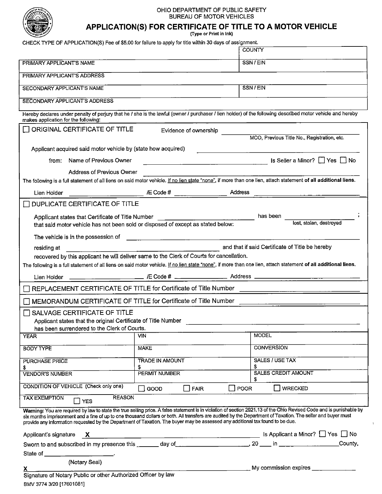

#### OHIO DEPARTMENT OF PUBLIC SAFETY BUREAU OF MOTOR VEHICLES

# APPLICATION(S) FOR CERTIFICATE OF TITLE TO A MOTOR VEHICLE

(Type or Print in Ink)

CHECK TYPE OF APPLICATION(S) Fee of \$5.00 for failure to apply for title within 30 days of assignment.

|                                                                                                                                                                                                                                                                                                                                                                                                                                                                        |                                                                                                                       | <b>COUNTY</b>                                                                                                                                                   |  |  |  |
|------------------------------------------------------------------------------------------------------------------------------------------------------------------------------------------------------------------------------------------------------------------------------------------------------------------------------------------------------------------------------------------------------------------------------------------------------------------------|-----------------------------------------------------------------------------------------------------------------------|-----------------------------------------------------------------------------------------------------------------------------------------------------------------|--|--|--|
| PRIMARY APPLICANT'S NAME                                                                                                                                                                                                                                                                                                                                                                                                                                               |                                                                                                                       | SSN/EIN                                                                                                                                                         |  |  |  |
| PRIMARY APPLICANT'S ADDRESS                                                                                                                                                                                                                                                                                                                                                                                                                                            |                                                                                                                       |                                                                                                                                                                 |  |  |  |
| SECONDARY APPLICANT'S NAME                                                                                                                                                                                                                                                                                                                                                                                                                                             | SSN / EIN                                                                                                             |                                                                                                                                                                 |  |  |  |
| <b>SECONDARY APPLICANT'S ADDRESS</b>                                                                                                                                                                                                                                                                                                                                                                                                                                   |                                                                                                                       |                                                                                                                                                                 |  |  |  |
| makes application for the following:                                                                                                                                                                                                                                                                                                                                                                                                                                   |                                                                                                                       | Hereby declares under penalty of perjury that he / she is the lawful (owner / purchaser / lien holder) of the following described motor vehicle and hereby      |  |  |  |
| ORIGINAL CERTIFICATE OF TITLE                                                                                                                                                                                                                                                                                                                                                                                                                                          | Evidence of ownership                                                                                                 |                                                                                                                                                                 |  |  |  |
|                                                                                                                                                                                                                                                                                                                                                                                                                                                                        |                                                                                                                       | MCO, Previous Title No., Registration, etc.                                                                                                                     |  |  |  |
| Applicant acquired said motor vehicle by (state how acquired)                                                                                                                                                                                                                                                                                                                                                                                                          |                                                                                                                       |                                                                                                                                                                 |  |  |  |
| Name of Previous Owner<br>from:                                                                                                                                                                                                                                                                                                                                                                                                                                        | <u> 1990 - Jan Barbara Barat, prima popular popular popular popular popular popular popular popular popular popul</u> | Is Seller a Minor? □ Yes □ No                                                                                                                                   |  |  |  |
| <b>Address of Previous Owner</b>                                                                                                                                                                                                                                                                                                                                                                                                                                       |                                                                                                                       |                                                                                                                                                                 |  |  |  |
|                                                                                                                                                                                                                                                                                                                                                                                                                                                                        |                                                                                                                       | The following is a full statement of all liens on said motor vehicle. If no lien state "none", if more than one lien, attach statement of all additional liens. |  |  |  |
| Lien Holder                                                                                                                                                                                                                                                                                                                                                                                                                                                            |                                                                                                                       |                                                                                                                                                                 |  |  |  |
| DUPLICATE CERTIFICATE OF TITLE                                                                                                                                                                                                                                                                                                                                                                                                                                         |                                                                                                                       |                                                                                                                                                                 |  |  |  |
|                                                                                                                                                                                                                                                                                                                                                                                                                                                                        |                                                                                                                       |                                                                                                                                                                 |  |  |  |
| that said motor vehicle has not been sold or disposed of except as stated below:                                                                                                                                                                                                                                                                                                                                                                                       |                                                                                                                       | lost, stolen, destroyed                                                                                                                                         |  |  |  |
| The vehicle is in the possession of                                                                                                                                                                                                                                                                                                                                                                                                                                    |                                                                                                                       |                                                                                                                                                                 |  |  |  |
| residing at                                                                                                                                                                                                                                                                                                                                                                                                                                                            |                                                                                                                       | and that if said Certificate of Title be hereby                                                                                                                 |  |  |  |
| recovered by this applicant he will deliver same to the Clerk of Courts for cancellation.                                                                                                                                                                                                                                                                                                                                                                              |                                                                                                                       | The following is a full statement of all liens on said motor vehicle. If no lien state "none", if more than one lien, attach statement of all additional liens. |  |  |  |
|                                                                                                                                                                                                                                                                                                                                                                                                                                                                        |                                                                                                                       |                                                                                                                                                                 |  |  |  |
| Lien Holder                                                                                                                                                                                                                                                                                                                                                                                                                                                            |                                                                                                                       |                                                                                                                                                                 |  |  |  |
| REPLACEMENT CERTIFICATE OF TITLE for Certificate of Title Number                                                                                                                                                                                                                                                                                                                                                                                                       |                                                                                                                       |                                                                                                                                                                 |  |  |  |
| MEMORANDUM CERTIFICATE OF TITLE for Certificate of Title Number                                                                                                                                                                                                                                                                                                                                                                                                        |                                                                                                                       |                                                                                                                                                                 |  |  |  |
| SALVAGE CERTIFICATE OF TITLE                                                                                                                                                                                                                                                                                                                                                                                                                                           |                                                                                                                       |                                                                                                                                                                 |  |  |  |
| Applicant states that the original Certificate of Title Number<br>has been surrendered to the Clerk of Courts.                                                                                                                                                                                                                                                                                                                                                         |                                                                                                                       |                                                                                                                                                                 |  |  |  |
| <b>YEAR</b>                                                                                                                                                                                                                                                                                                                                                                                                                                                            | <b>VIN</b>                                                                                                            | <b>MODEL</b>                                                                                                                                                    |  |  |  |
| <b>BODY TYPE</b>                                                                                                                                                                                                                                                                                                                                                                                                                                                       | <b>MAKE</b>                                                                                                           | <b>CONVERSION</b>                                                                                                                                               |  |  |  |
| <b>PURCHASE PRICE</b>                                                                                                                                                                                                                                                                                                                                                                                                                                                  | TRADE IN AMOUNT                                                                                                       | SALES / USE TAX                                                                                                                                                 |  |  |  |
| S<br><b>VENDOR'S NUMBER</b>                                                                                                                                                                                                                                                                                                                                                                                                                                            | \$<br>PERMIT NUMBER                                                                                                   | \$<br>SALES CREDIT AMOUNT                                                                                                                                       |  |  |  |
| CONDITION OF VEHICLE (Check only one)                                                                                                                                                                                                                                                                                                                                                                                                                                  | GOOD<br><b>FAIR</b>                                                                                                   | <b>WRECKED</b><br>$\Box$ POOR                                                                                                                                   |  |  |  |
| <b>REASON</b><br><b>TAX EXEMPTION</b><br>$\Box$ YES                                                                                                                                                                                                                                                                                                                                                                                                                    |                                                                                                                       |                                                                                                                                                                 |  |  |  |
| Warning: You are required by law to state the true selling price. A false statement is in violation of section 2921.13 of the Ohio Revised Code and is punishable by<br>six months imprisonment and a fine of up to one thousand dollars or both. All transfers are audited by the Department of Taxation. The seller and buyer must<br>provide any information requested by the Department of Taxation. The buyer may be assessed any additional tax found to be due. |                                                                                                                       |                                                                                                                                                                 |  |  |  |
| Applicant's signature<br>$\mathbf{x}$                                                                                                                                                                                                                                                                                                                                                                                                                                  |                                                                                                                       |                                                                                                                                                                 |  |  |  |
|                                                                                                                                                                                                                                                                                                                                                                                                                                                                        |                                                                                                                       |                                                                                                                                                                 |  |  |  |
| State of ________________________________.                                                                                                                                                                                                                                                                                                                                                                                                                             |                                                                                                                       |                                                                                                                                                                 |  |  |  |
| (Notary Seal)                                                                                                                                                                                                                                                                                                                                                                                                                                                          |                                                                                                                       | My commission expires ____________                                                                                                                              |  |  |  |
| Signature of Notary Public or other Authorized Officer by law                                                                                                                                                                                                                                                                                                                                                                                                          |                                                                                                                       |                                                                                                                                                                 |  |  |  |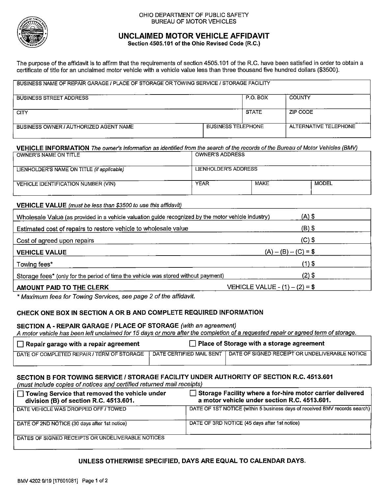

#### OHIO DEPARTMENT OF PUBLIC SAFETY **BUREAU OF MOTOR VEHICLES**

# UNCLAIMED MOTOR VEHICLE AFFIDAVIT

Section 4505.101 of the Ohio Revised Code (R.C.)

The purpose of the affidavit is to affirm that the requirements of section 4505.101 of the R.C. have been satisfied in order to obtain a certificate of title for an unclaimed motor vehicle with a vehicle value less than three thousand five hundred dollars (\$3500).

| BUSINESS NAME OF REPAIR GARAGE / PLACE OF STORAGE OR TOWING SERVICE / STORAGE FACILITY |                           |              |                       |  |  |
|----------------------------------------------------------------------------------------|---------------------------|--------------|-----------------------|--|--|
| <b>BUSINESS STREET ADDRESS</b>                                                         |                           | P.O. BOX     | <b>COUNTY</b>         |  |  |
| <b>CITY</b>                                                                            |                           | <b>STATE</b> | ZIP CODE              |  |  |
| BUSINESS OWNER / AUTHORIZED AGENT NAME                                                 | <b>BUSINESS TELEPHONE</b> |              | ALTERNATIVE TELEPHONE |  |  |

# VEHICLE INFORMATION The owner's information as identified from the search of the records of the Bureau of Motor Vehicles (BMV)

| OWNER'S NAME ON TITLE                      | OWNER'S ADDRESS      |             |              |
|--------------------------------------------|----------------------|-------------|--------------|
| LIENHOLDER'S NAME ON TITLE (if applicable) | LIENHOLDER'S ADDRESS |             |              |
| VEHICLE IDENTIFICATION NUMBER (VIN)        | <b>YEAR</b>          | <b>MAKE</b> | <b>MODEL</b> |

## VEHICLE VALUE (must be less than \$3500 to use this affidavit)

| Wholesale Value (as provided in a vehicle valuation guide recognized by the motor vehicle industry) | $(A)$ \$                        |  |
|-----------------------------------------------------------------------------------------------------|---------------------------------|--|
| Estimated cost of repairs to restore vehicle to wholesale value                                     | (B) \$                          |  |
| Cost of agreed upon repairs                                                                         | $(C)$ \$                        |  |
| <b>VEHICLE VALUE</b>                                                                                | $(A) - (B) - (C) = $$           |  |
| Towing fees*                                                                                        | (1) \$                          |  |
| Storage fees* (only for the period of time the vehicle was stored without payment)                  | $(2)$ \$                        |  |
| AMOUNT PAID TO THE CLERK                                                                            | VEHICLE VALUE - $(1) - (2) = $$ |  |

\* Maximum fees for Towing Services, see page 2 of the affidavit.

## CHECK ONE BOX IN SECTION A OR B AND COMPLETE REQUIRED INFORMATION

## SECTION A - REPAIR GARAGE / PLACE OF STORAGE (with an agreement)

A motor vehicle has been left unclaimed for 15 days or more after the completion of a requested repair or agreed term of storage.

| $\Box$ Repair garage with a repair agreement | $\Box$ Place of Storage with a storage agreement |                                                |  |
|----------------------------------------------|--------------------------------------------------|------------------------------------------------|--|
| DATE OF COMPLETED REPAIR / TERM OF STORAGE   | ` DATE CERTIFIED MAIL SENT                       | DATE OF SIGNED RECEIPT OR UNDELIVERABLE NOTICE |  |

# SECTION B FOR TOWING SERVICE / STORAGE FACILITY UNDER AUTHORITY OF SECTION R.C. 4513.601

(must include copies of notices and certified returned mail receipts)

| □ Towing Service that removed the vehicle under<br>division (B) of section R.C. 4513.601. | $\Box$ Storage Facility where a for-hire motor carrier delivered<br>a motor vehicle under section R.C. 4513.601. |
|-------------------------------------------------------------------------------------------|------------------------------------------------------------------------------------------------------------------|
| DATE VEHICLE WAS DROPPED OFF / TOWED                                                      | DATE OF 1ST NOTICE (within 5 business days of received BMV records search)                                       |
| DATE OF 2ND NOTICE (30 days after 1st notice)                                             | DATE OF 3RD NOTICE (45 days after 1st notice)                                                                    |
| DATES OF SIGNED RECEIPTS OR UNDELIVERABLE NOTICES                                         |                                                                                                                  |

## UNLESS OTHERWISE SPECIFIED, DAYS ARE EQUAL TO CALENDAR DAYS.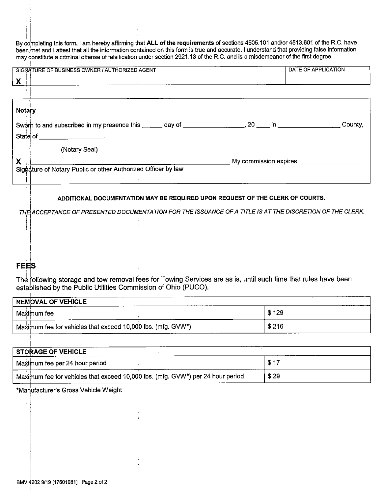By completing this form, I am hereby affirming that ALL of the requirements of sections 4505.101 and/or 4513.601 of the R.C. have been met and I attest that all the information contained on this form is true and accurate. I understand that providing false information<br>may constitute a criminal offense of falsification under section 2921.13 of the R.C.

|               | SIGNATURE OF BUSINESS OWNER / AUTHORIZED AGENT                                                                        | DATE OF APPLICATION                                                                                                                                                                                                                  |
|---------------|-----------------------------------------------------------------------------------------------------------------------|--------------------------------------------------------------------------------------------------------------------------------------------------------------------------------------------------------------------------------------|
| $\mathbf{X}$  |                                                                                                                       |                                                                                                                                                                                                                                      |
|               |                                                                                                                       |                                                                                                                                                                                                                                      |
| <b>Notary</b> |                                                                                                                       |                                                                                                                                                                                                                                      |
|               | Sworn to and subscribed in my presence this electronic day of electronic control. 20 electronic in electronic County, |                                                                                                                                                                                                                                      |
|               | State of <u>_________________________</u>                                                                             |                                                                                                                                                                                                                                      |
|               | (Notary Seal)                                                                                                         |                                                                                                                                                                                                                                      |
|               |                                                                                                                       | My commission expires <b>with a material control of the set of the set of the set of the set of the set of the set of the set of the set of the set of the set of the set of the set of the set of the set of the set of the set</b> |
|               | Signature of Notary Public or other Authorized Officer by law                                                         |                                                                                                                                                                                                                                      |
|               |                                                                                                                       |                                                                                                                                                                                                                                      |
|               | ADDITIONAL DOCUMENTATION MAY BE REQUIRED UPON REQUEST OF THE CLERK OF COURTS.                                         |                                                                                                                                                                                                                                      |
|               | THE ACCEPTANCE OF PRESENTED DOCUMENTATION FOR THE ISSUANCE OF A TITLE IS AT THE DISCRETION OF THE CLERK.              |                                                                                                                                                                                                                                      |

# **FEES**

The following storage and tow removal fees for Towing Services are as is, until such time that rules have been established by the Public Utilities Commission of Ohio (PUCO).

| <b>REMOVAL OF VEHICLE</b>                                    |       |  |  |  |  |
|--------------------------------------------------------------|-------|--|--|--|--|
| Maximum fee                                                  | \$129 |  |  |  |  |
| Maximum fee for vehicles that exceed 10,000 lbs. (mfg. GVW*) | \$216 |  |  |  |  |

| STORAGE OF VEHICLE                                                              |              |
|---------------------------------------------------------------------------------|--------------|
| Maximum fee per 24 hour period                                                  | <b>\$1</b> 7 |
| Maximum fee for vehicles that exceed 10,000 lbs. (mfg. GVW*) per 24 hour period | \$29         |

\*Manufacturer's Gross Vehicle Weight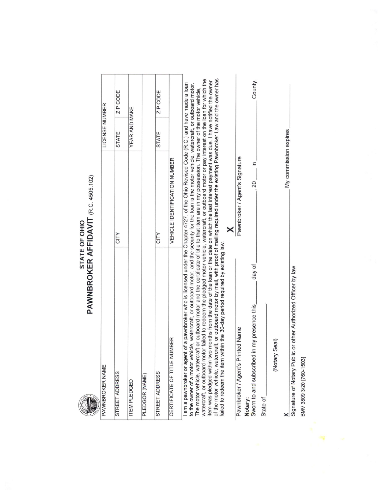# **PAWNBROKER AFFIDAVIT** (R.C. 4505.102)

| PAWNBROKER NAME                                                                                                                                                                                                                                                                                                                                                                                                                                                                                                                                                                                                                                                                                                                                                                                                                                                                                                                                                                                                                                                                                                                           |                                                                           | LICENSE NUMBER |          |  |
|-------------------------------------------------------------------------------------------------------------------------------------------------------------------------------------------------------------------------------------------------------------------------------------------------------------------------------------------------------------------------------------------------------------------------------------------------------------------------------------------------------------------------------------------------------------------------------------------------------------------------------------------------------------------------------------------------------------------------------------------------------------------------------------------------------------------------------------------------------------------------------------------------------------------------------------------------------------------------------------------------------------------------------------------------------------------------------------------------------------------------------------------|---------------------------------------------------------------------------|----------------|----------|--|
| STREET ADDRESS                                                                                                                                                                                                                                                                                                                                                                                                                                                                                                                                                                                                                                                                                                                                                                                                                                                                                                                                                                                                                                                                                                                            | CITY                                                                      | <b>STATE</b>   | ZIP CODE |  |
| <b>ITEM PLEDGED</b>                                                                                                                                                                                                                                                                                                                                                                                                                                                                                                                                                                                                                                                                                                                                                                                                                                                                                                                                                                                                                                                                                                                       |                                                                           | YEAR AND MAKE  |          |  |
| PLEDGOR (NAME)                                                                                                                                                                                                                                                                                                                                                                                                                                                                                                                                                                                                                                                                                                                                                                                                                                                                                                                                                                                                                                                                                                                            |                                                                           |                |          |  |
| STREET ADDRESS                                                                                                                                                                                                                                                                                                                                                                                                                                                                                                                                                                                                                                                                                                                                                                                                                                                                                                                                                                                                                                                                                                                            | CITY                                                                      | <b>STATE</b>   | ZIP CODE |  |
| CERTIFICATE OF TITLE NUMBER                                                                                                                                                                                                                                                                                                                                                                                                                                                                                                                                                                                                                                                                                                                                                                                                                                                                                                                                                                                                                                                                                                               | VEHICLE IDENTIFICATION NUMBER                                             |                |          |  |
| of the motor vehicle, watercraft, or outboard motor by mail, with proof of mailing required under the existing Pawnbroker Law and the owner has<br>watercraft, or outboard motor failed to redeem the pledged motor vehicle, watercraft, or outboard motor or pay interest on the loan for which the<br>item was pledged within two months from the date of the loan or the date on which the last interest payment was due. I have notified the owner<br>t of a pawnbroker who is licensed under the Chapter 4727. of the Ohio Revised Code (R.C.) and have made a loan<br>to the owner of a motor vehicle, watercraft, or outboard motor, and the security for the loan is the motor vehicle, watercraft, or outboard motor.<br>The motor vehicle, watercraft or outboard motor and the certificate of title to that item are in my possession. The owner of the motor vehicle,<br>failed to redeem the item within the 30-day period required by existing law.<br>day of<br>in my presence this<br>Pawnbroker / Agent's Printed Name<br>Seal)<br>am a pawnbroker or agent<br>(Notary<br>Sworn to and subscribed<br>State of<br>Notary: | My commission expires<br>Pawnbroker / Agent's Signature<br>$\equiv$<br>20 |                | County,  |  |
| Signature of Notary Public or other Authorized Officer by law                                                                                                                                                                                                                                                                                                                                                                                                                                                                                                                                                                                                                                                                                                                                                                                                                                                                                                                                                                                                                                                                             |                                                                           |                |          |  |

BMV 3809 3/20 [760-1503]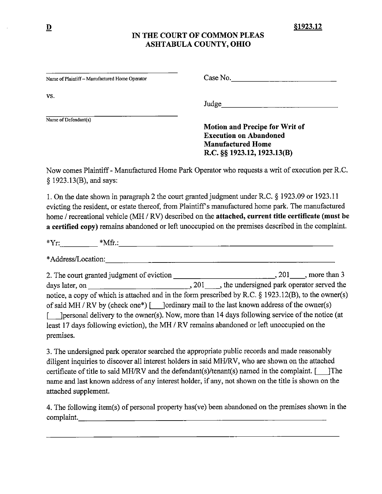# IN THE COURT OF COMMON PLEAS ASHTABULA COUNTY, OHIO

| Name of Plaintiff - Manufactured Home Operator | Case No. |  |
|------------------------------------------------|----------|--|
| VS.                                            | Judge    |  |
| Name of Defendant(s)                           |          |  |

**Motion and Precipe for Writ of Execution on Abandoned Manufactured Home** R.C. §§ 1923.12, 1923.13(B)

Now comes Plaintiff - Manufactured Home Park Operator who requests a writ of execution per R.C. § 1923.13(B), and says:

1. On the date shown in paragraph 2 the court granted judgment under R.C. § 1923.09 or 1923.11 evicting the resident, or estate thereof, from Plaintiff's manufactured home park. The manufactured home / recreational vehicle (MH / RV) described on the attached, current title certificate (must be a certified copy) remains abandoned or left unoccupied on the premises described in the complaint.

days later, on <br>
1. 201 ..., the undersigned park operator served the notice, a copy of which is attached and in the form prescribed by R.C. § 1923.12(B), to the owner(s) of said MH / RV by (check one\*) [ ] [ordinary mail to the last known address of the owner(s) [ literature of the notice (at  $\frac{1}{2}$  literature of the owner(s). Now, more than 14 days following service of the notice (at least 17 days following eviction), the MH / RV remains abandoned or left unoccupied on the premises.

3. The undersigned park operator searched the appropriate public records and made reasonably diligent inquiries to discover all interest holders in said MH/RV, who are shown on the attached certificate of title to said MH/RV and the defendant(s)/tenant(s) named in the complaint. [ [The name and last known address of any interest holder, if any, not shown on the title is shown on the attached supplement.

4. The following item(s) of personal property has (ve) been abandoned on the premises shown in the complaint.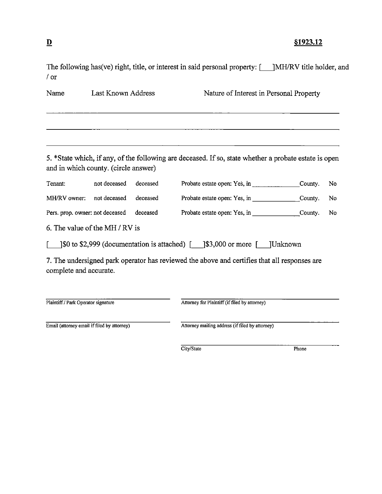# §1923.12

The following has(ve) right, title, or interest in said personal property: [ \_\_ ]MH/RV title holder, and / or

| Name                                        | Last Known Address |          | Nature of Interest in Personal Property                                                                |         |    |
|---------------------------------------------|--------------------|----------|--------------------------------------------------------------------------------------------------------|---------|----|
|                                             |                    |          |                                                                                                        |         |    |
| and in which county. (circle answer)        |                    |          | 5. *State which, if any, of the following are deceased. If so, state whether a probate estate is open  |         |    |
| Tenant:                                     | not deceased       | deceased |                                                                                                        | County. | No |
| MH/RV owner:                                | not deceased       | deceased |                                                                                                        |         | No |
| Pers. prop. owner: not deceased             |                    | deceased | Probate estate open: Yes, in County.                                                                   |         | No |
| 6. The value of the MH / RV is              |                    |          |                                                                                                        |         |    |
|                                             |                    |          | $\lceil \$\text{0 to $2,999}$ (documentation is attached) [ $\lceil \$\text{3,000}$ or more [ ]Unknown |         |    |
| complete and accurate.                      |                    |          | 7. The undersigned park operator has reviewed the above and certifies that all responses are           |         |    |
| Plaintiff / Park Operator signature         |                    |          | Attorney for Plaintiff (if filed by attorney)                                                          |         |    |
| Email (attorney email if filed by attorney) |                    |          | Attorney mailing address (if filed by attorney)                                                        |         |    |
|                                             |                    |          | City/State                                                                                             | Phone   |    |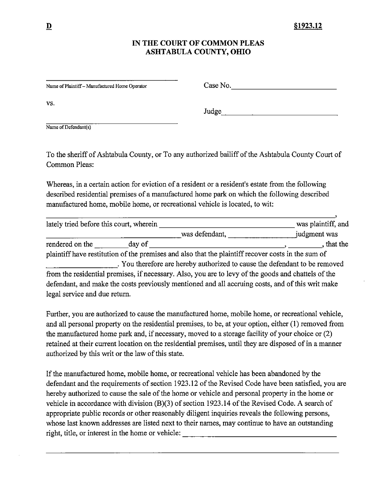# IN THE COURT OF COMMON PLEAS ASHTABULA COUNTY, OHIO

Name of Plaintiff - Manufactured Home Operator

Case No.

VS.

Judge

Name of Defendant(s)

To the sheriff of Ashtabula County, or To any authorized bailiff of the Ashtabula County Court of **Common Pleas:** 

Whereas, in a certain action for eviction of a resident or a resident's estate from the following described residential premises of a manufactured home park on which the following described manufactured home, mobile home, or recreational vehicle is located, to wit:

| lately tried before this court, wherein |        |                                                                                                     | was plaintiff, and |
|-----------------------------------------|--------|-----------------------------------------------------------------------------------------------------|--------------------|
|                                         |        | was defendant,                                                                                      | judgment was       |
| rendered on the                         | day of |                                                                                                     | that the           |
|                                         |        | plaintiff have restitution of the premises and also that the plaintiff recover costs in the sum of  |                    |
|                                         |        | . You therefore are hereby authorized to cause the defendant to be removed                          |                    |
|                                         |        | from the residential premises, if necessary. Also, you are to levy of the goods and chattels of the |                    |
|                                         |        | defendant, and make the costs previously mentioned and all accruing costs, and of this writ make    |                    |
| legal service and due return.           |        |                                                                                                     |                    |

Further, you are authorized to cause the manufactured home, mobile home, or recreational vehicle, and all personal property on the residential premises, to be, at your option, either (1) removed from the manufactured home park and, if necessary, moved to a storage facility of your choice or (2) retained at their current location on the residential premises, until they are disposed of in a manner authorized by this writ or the law of this state.

If the manufactured home, mobile home, or recreational vehicle has been abandoned by the defendant and the requirements of section 1923.12 of the Revised Code have been satisfied, you are hereby authorized to cause the sale of the home or vehicle and personal property in the home or vehicle in accordance with division (B)(3) of section 1923.14 of the Revised Code. A search of appropriate public records or other reasonably diligent inquiries reveals the following persons, whose last known addresses are listed next to their names, may continue to have an outstanding right, title, or interest in the home or vehicle: